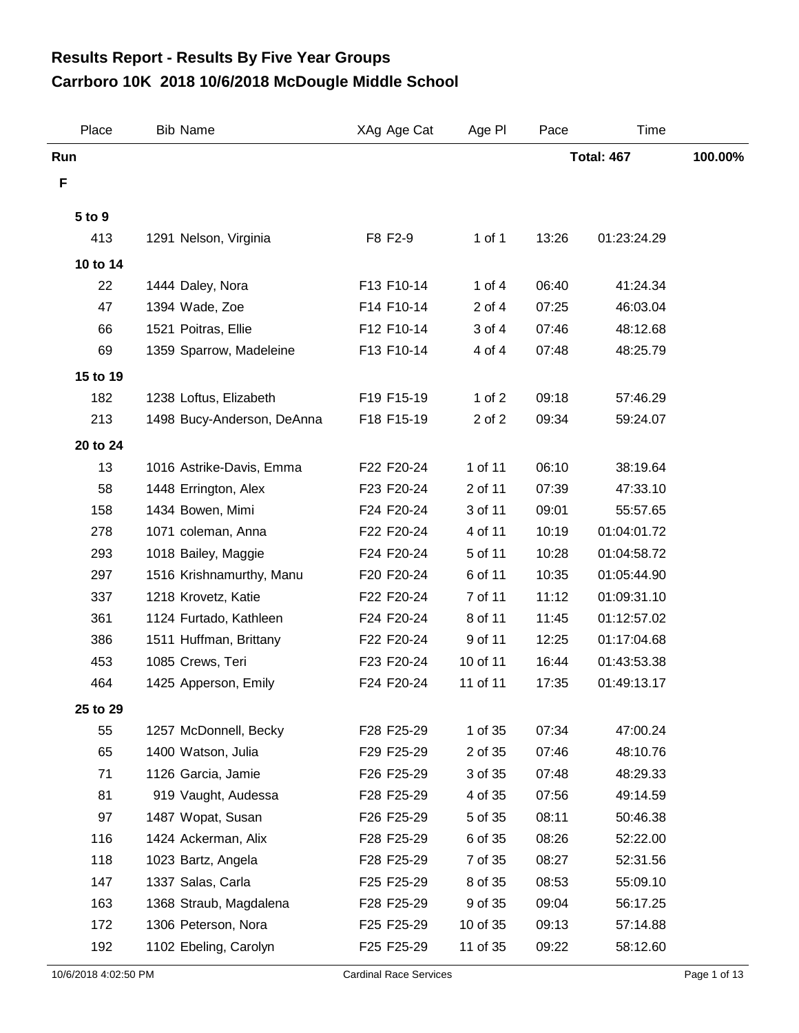## **Carrboro 10K 2018 10/6/2018 McDougle Middle School Results Report - Results By Five Year Groups**

| Place           | <b>Bib Name</b>            | XAg Age Cat | Age PI   | Pace              | Time        |         |
|-----------------|----------------------------|-------------|----------|-------------------|-------------|---------|
| Run             |                            |             |          | <b>Total: 467</b> |             | 100.00% |
| F               |                            |             |          |                   |             |         |
| 5 to 9          |                            |             |          |                   |             |         |
| 413             | 1291 Nelson, Virginia      | F8 F2-9     | 1 of 1   | 13:26             | 01:23:24.29 |         |
| 10 to 14        |                            |             |          |                   |             |         |
| 22              | 1444 Daley, Nora           | F13 F10-14  | 1 of $4$ | 06:40             | 41:24.34    |         |
| 47              | 1394 Wade, Zoe             | F14 F10-14  | 2 of 4   | 07:25             | 46:03.04    |         |
| 66              | 1521 Poitras, Ellie        | F12 F10-14  | 3 of 4   | 07:46             | 48:12.68    |         |
| 69              | 1359 Sparrow, Madeleine    | F13 F10-14  | 4 of 4   | 07:48             | 48:25.79    |         |
|                 |                            |             |          |                   |             |         |
| 15 to 19<br>182 |                            |             | 1 of $2$ | 09:18             |             |         |
|                 | 1238 Loftus, Elizabeth     | F19 F15-19  |          |                   | 57:46.29    |         |
| 213             | 1498 Bucy-Anderson, DeAnna | F18 F15-19  | 2 of 2   | 09:34             | 59:24.07    |         |
| 20 to 24        |                            |             |          |                   |             |         |
| 13              | 1016 Astrike-Davis, Emma   | F22 F20-24  | 1 of 11  | 06:10             | 38:19.64    |         |
| 58              | 1448 Errington, Alex       | F23 F20-24  | 2 of 11  | 07:39             | 47:33.10    |         |
| 158             | 1434 Bowen, Mimi           | F24 F20-24  | 3 of 11  | 09:01             | 55:57.65    |         |
| 278             | 1071 coleman, Anna         | F22 F20-24  | 4 of 11  | 10:19             | 01:04:01.72 |         |
| 293             | 1018 Bailey, Maggie        | F24 F20-24  | 5 of 11  | 10:28             | 01:04:58.72 |         |
| 297             | 1516 Krishnamurthy, Manu   | F20 F20-24  | 6 of 11  | 10:35             | 01:05:44.90 |         |
| 337             | 1218 Krovetz, Katie        | F22 F20-24  | 7 of 11  | 11:12             | 01:09:31.10 |         |
| 361             | 1124 Furtado, Kathleen     | F24 F20-24  | 8 of 11  | 11:45             | 01:12:57.02 |         |
| 386             | 1511 Huffman, Brittany     | F22 F20-24  | 9 of 11  | 12:25             | 01:17:04.68 |         |
| 453             | 1085 Crews, Teri           | F23 F20-24  | 10 of 11 | 16:44             | 01:43:53.38 |         |
| 464             | 1425 Apperson, Emily       | F24 F20-24  | 11 of 11 | 17:35             | 01:49:13.17 |         |
| 25 to 29        |                            |             |          |                   |             |         |
| 55              | 1257 McDonnell, Becky      | F28 F25-29  | 1 of 35  | 07:34             | 47:00.24    |         |
| 65              | 1400 Watson, Julia         | F29 F25-29  | 2 of 35  | 07:46             | 48:10.76    |         |
| 71              | 1126 Garcia, Jamie         | F26 F25-29  | 3 of 35  | 07:48             | 48:29.33    |         |
| 81              | 919 Vaught, Audessa        | F28 F25-29  | 4 of 35  | 07:56             | 49:14.59    |         |
| 97              | 1487 Wopat, Susan          | F26 F25-29  | 5 of 35  | 08:11             | 50:46.38    |         |
| 116             | 1424 Ackerman, Alix        | F28 F25-29  | 6 of 35  | 08:26             | 52:22.00    |         |
| 118             | 1023 Bartz, Angela         | F28 F25-29  | 7 of 35  | 08:27             | 52:31.56    |         |
| 147             | 1337 Salas, Carla          | F25 F25-29  | 8 of 35  | 08:53             | 55:09.10    |         |
| 163             | 1368 Straub, Magdalena     | F28 F25-29  | 9 of 35  | 09:04             | 56:17.25    |         |
| 172             | 1306 Peterson, Nora        | F25 F25-29  | 10 of 35 | 09:13             | 57:14.88    |         |
| 192             | 1102 Ebeling, Carolyn      | F25 F25-29  | 11 of 35 | 09:22             | 58:12.60    |         |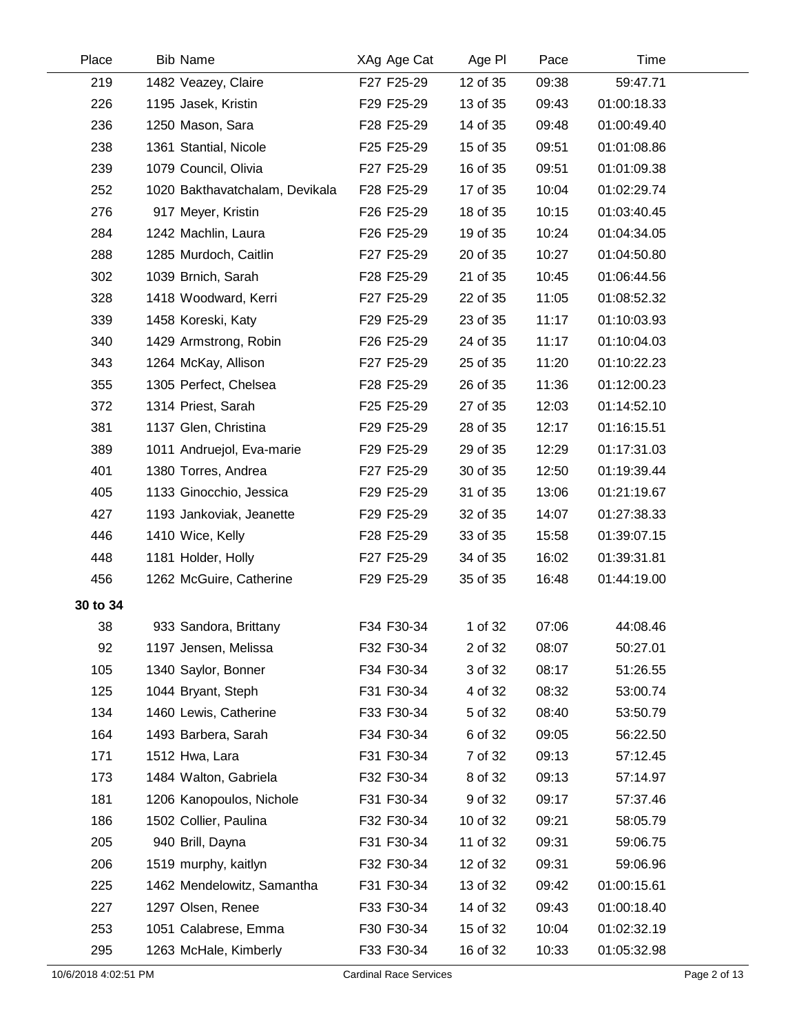| Place                | <b>Bib Name</b>                | XAg Age Cat                   | Age PI   | Pace  | Time        |              |
|----------------------|--------------------------------|-------------------------------|----------|-------|-------------|--------------|
| 219                  | 1482 Veazey, Claire            | F27 F25-29                    | 12 of 35 | 09:38 | 59:47.71    |              |
| 226                  | 1195 Jasek, Kristin            | F29 F25-29                    | 13 of 35 | 09:43 | 01:00:18.33 |              |
| 236                  | 1250 Mason, Sara               | F28 F25-29                    | 14 of 35 | 09:48 | 01:00:49.40 |              |
| 238                  | 1361 Stantial, Nicole          | F25 F25-29                    | 15 of 35 | 09:51 | 01:01:08.86 |              |
| 239                  | 1079 Council, Olivia           | F27 F25-29                    | 16 of 35 | 09:51 | 01:01:09.38 |              |
| 252                  | 1020 Bakthavatchalam, Devikala | F28 F25-29                    | 17 of 35 | 10:04 | 01:02:29.74 |              |
| 276                  | 917 Meyer, Kristin             | F26 F25-29                    | 18 of 35 | 10:15 | 01:03:40.45 |              |
| 284                  | 1242 Machlin, Laura            | F26 F25-29                    | 19 of 35 | 10:24 | 01:04:34.05 |              |
| 288                  | 1285 Murdoch, Caitlin          | F27 F25-29                    | 20 of 35 | 10:27 | 01:04:50.80 |              |
| 302                  | 1039 Brnich, Sarah             | F28 F25-29                    | 21 of 35 | 10:45 | 01:06:44.56 |              |
| 328                  | 1418 Woodward, Kerri           | F27 F25-29                    | 22 of 35 | 11:05 | 01:08:52.32 |              |
| 339                  | 1458 Koreski, Katy             | F29 F25-29                    | 23 of 35 | 11:17 | 01:10:03.93 |              |
| 340                  | 1429 Armstrong, Robin          | F26 F25-29                    | 24 of 35 | 11:17 | 01:10:04.03 |              |
| 343                  | 1264 McKay, Allison            | F27 F25-29                    | 25 of 35 | 11:20 | 01:10:22.23 |              |
| 355                  | 1305 Perfect, Chelsea          | F28 F25-29                    | 26 of 35 | 11:36 | 01:12:00.23 |              |
| 372                  | 1314 Priest, Sarah             | F25 F25-29                    | 27 of 35 | 12:03 | 01:14:52.10 |              |
| 381                  | 1137 Glen, Christina           | F29 F25-29                    | 28 of 35 | 12:17 | 01:16:15.51 |              |
| 389                  | 1011 Andruejol, Eva-marie      | F29 F25-29                    | 29 of 35 | 12:29 | 01:17:31.03 |              |
| 401                  | 1380 Torres, Andrea            | F27 F25-29                    | 30 of 35 | 12:50 | 01:19:39.44 |              |
| 405                  | 1133 Ginocchio, Jessica        | F29 F25-29                    | 31 of 35 | 13:06 | 01:21:19.67 |              |
| 427                  | 1193 Jankoviak, Jeanette       | F29 F25-29                    | 32 of 35 | 14:07 | 01:27:38.33 |              |
| 446                  | 1410 Wice, Kelly               | F28 F25-29                    | 33 of 35 | 15:58 | 01:39:07.15 |              |
| 448                  | 1181 Holder, Holly             | F27 F25-29                    | 34 of 35 | 16:02 | 01:39:31.81 |              |
| 456                  | 1262 McGuire, Catherine        | F29 F25-29                    | 35 of 35 | 16:48 | 01:44:19.00 |              |
| 30 to 34             |                                |                               |          |       |             |              |
| 38                   | 933 Sandora, Brittany          | F34 F30-34                    | 1 of 32  | 07:06 | 44:08.46    |              |
| 92                   | 1197 Jensen, Melissa           | F32 F30-34                    | 2 of 32  | 08:07 | 50:27.01    |              |
| 105                  | 1340 Saylor, Bonner            | F34 F30-34                    | 3 of 32  | 08:17 | 51:26.55    |              |
| 125                  | 1044 Bryant, Steph             | F31 F30-34                    | 4 of 32  | 08:32 | 53:00.74    |              |
| 134                  | 1460 Lewis, Catherine          | F33 F30-34                    | 5 of 32  | 08:40 | 53:50.79    |              |
| 164                  | 1493 Barbera, Sarah            | F34 F30-34                    | 6 of 32  | 09:05 | 56:22.50    |              |
| 171                  | 1512 Hwa, Lara                 | F31 F30-34                    | 7 of 32  | 09:13 | 57:12.45    |              |
| 173                  | 1484 Walton, Gabriela          | F32 F30-34                    | 8 of 32  | 09:13 | 57:14.97    |              |
| 181                  | 1206 Kanopoulos, Nichole       | F31 F30-34                    | 9 of 32  | 09:17 | 57:37.46    |              |
| 186                  | 1502 Collier, Paulina          | F32 F30-34                    | 10 of 32 | 09:21 | 58:05.79    |              |
| 205                  | 940 Brill, Dayna               | F31 F30-34                    | 11 of 32 | 09:31 | 59:06.75    |              |
| 206                  | 1519 murphy, kaitlyn           | F32 F30-34                    | 12 of 32 | 09:31 | 59:06.96    |              |
| 225                  | 1462 Mendelowitz, Samantha     | F31 F30-34                    | 13 of 32 | 09:42 | 01:00:15.61 |              |
| 227                  | 1297 Olsen, Renee              | F33 F30-34                    | 14 of 32 | 09:43 | 01:00:18.40 |              |
| 253                  | 1051 Calabrese, Emma           | F30 F30-34                    | 15 of 32 | 10:04 | 01:02:32.19 |              |
| 295                  | 1263 McHale, Kimberly          | F33 F30-34                    | 16 of 32 | 10:33 | 01:05:32.98 |              |
| 10/6/2018 4:02:51 PM |                                | <b>Cardinal Race Services</b> |          |       |             | Page 2 of 13 |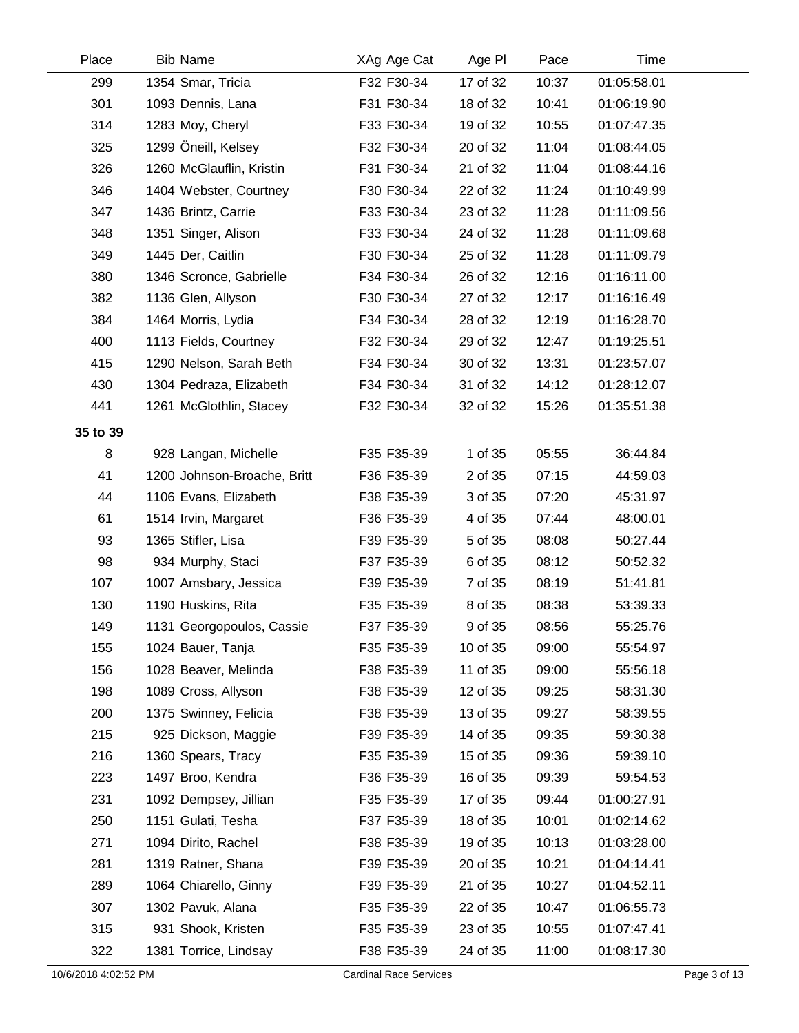| Place    | <b>Bib Name</b>             | XAg Age Cat | Age PI   | Pace  | Time        |  |
|----------|-----------------------------|-------------|----------|-------|-------------|--|
| 299      | 1354 Smar, Tricia           | F32 F30-34  | 17 of 32 | 10:37 | 01:05:58.01 |  |
| 301      | 1093 Dennis, Lana           | F31 F30-34  | 18 of 32 | 10:41 | 01:06:19.90 |  |
| 314      | 1283 Moy, Cheryl            | F33 F30-34  | 19 of 32 | 10:55 | 01:07:47.35 |  |
| 325      | 1299 Öneill, Kelsey         | F32 F30-34  | 20 of 32 | 11:04 | 01:08:44.05 |  |
| 326      | 1260 McGlauflin, Kristin    | F31 F30-34  | 21 of 32 | 11:04 | 01:08:44.16 |  |
| 346      | 1404 Webster, Courtney      | F30 F30-34  | 22 of 32 | 11:24 | 01:10:49.99 |  |
| 347      | 1436 Brintz, Carrie         | F33 F30-34  | 23 of 32 | 11:28 | 01:11:09.56 |  |
| 348      | 1351 Singer, Alison         | F33 F30-34  | 24 of 32 | 11:28 | 01:11:09.68 |  |
| 349      | 1445 Der, Caitlin           | F30 F30-34  | 25 of 32 | 11:28 | 01:11:09.79 |  |
| 380      | 1346 Scronce, Gabrielle     | F34 F30-34  | 26 of 32 | 12:16 | 01:16:11.00 |  |
| 382      | 1136 Glen, Allyson          | F30 F30-34  | 27 of 32 | 12:17 | 01:16:16.49 |  |
| 384      | 1464 Morris, Lydia          | F34 F30-34  | 28 of 32 | 12:19 | 01:16:28.70 |  |
| 400      | 1113 Fields, Courtney       | F32 F30-34  | 29 of 32 | 12:47 | 01:19:25.51 |  |
| 415      | 1290 Nelson, Sarah Beth     | F34 F30-34  | 30 of 32 | 13:31 | 01:23:57.07 |  |
| 430      | 1304 Pedraza, Elizabeth     | F34 F30-34  | 31 of 32 | 14:12 | 01:28:12.07 |  |
| 441      | 1261 McGlothlin, Stacey     | F32 F30-34  | 32 of 32 | 15:26 | 01:35:51.38 |  |
| 35 to 39 |                             |             |          |       |             |  |
| 8        | 928 Langan, Michelle        | F35 F35-39  | 1 of 35  | 05:55 | 36:44.84    |  |
| 41       | 1200 Johnson-Broache, Britt | F36 F35-39  | 2 of 35  | 07:15 | 44:59.03    |  |
| 44       | 1106 Evans, Elizabeth       | F38 F35-39  | 3 of 35  | 07:20 | 45:31.97    |  |
| 61       | 1514 Irvin, Margaret        | F36 F35-39  | 4 of 35  | 07:44 | 48:00.01    |  |
| 93       | 1365 Stifler, Lisa          | F39 F35-39  | 5 of 35  | 08:08 | 50:27.44    |  |
| 98       | 934 Murphy, Staci           | F37 F35-39  | 6 of 35  | 08:12 | 50:52.32    |  |
| 107      | 1007 Amsbary, Jessica       | F39 F35-39  | 7 of 35  | 08:19 | 51:41.81    |  |
| 130      | 1190 Huskins, Rita          | F35 F35-39  | 8 of 35  | 08:38 | 53:39.33    |  |
| 149      | 1131 Georgopoulos, Cassie   | F37 F35-39  | 9 of 35  | 08:56 | 55:25.76    |  |
| 155      | 1024 Bauer, Tanja           | F35 F35-39  | 10 of 35 | 09:00 | 55:54.97    |  |
| 156      | 1028 Beaver, Melinda        | F38 F35-39  | 11 of 35 | 09:00 | 55:56.18    |  |
| 198      | 1089 Cross, Allyson         | F38 F35-39  | 12 of 35 | 09:25 | 58:31.30    |  |
| 200      | 1375 Swinney, Felicia       | F38 F35-39  | 13 of 35 | 09:27 | 58:39.55    |  |
| 215      | 925 Dickson, Maggie         | F39 F35-39  | 14 of 35 | 09:35 | 59:30.38    |  |
| 216      | 1360 Spears, Tracy          | F35 F35-39  | 15 of 35 | 09:36 | 59:39.10    |  |
| 223      | 1497 Broo, Kendra           | F36 F35-39  | 16 of 35 | 09:39 | 59:54.53    |  |
| 231      | 1092 Dempsey, Jillian       | F35 F35-39  | 17 of 35 | 09:44 | 01:00:27.91 |  |
| 250      | 1151 Gulati, Tesha          | F37 F35-39  | 18 of 35 | 10:01 | 01:02:14.62 |  |
| 271      | 1094 Dirito, Rachel         | F38 F35-39  | 19 of 35 | 10:13 | 01:03:28.00 |  |
| 281      | 1319 Ratner, Shana          | F39 F35-39  | 20 of 35 | 10:21 | 01:04:14.41 |  |
| 289      | 1064 Chiarello, Ginny       | F39 F35-39  | 21 of 35 | 10:27 | 01:04:52.11 |  |
| 307      | 1302 Pavuk, Alana           | F35 F35-39  | 22 of 35 | 10:47 | 01:06:55.73 |  |
| 315      | 931 Shook, Kristen          | F35 F35-39  | 23 of 35 | 10:55 | 01:07:47.41 |  |
| 322      | 1381 Torrice, Lindsay       | F38 F35-39  | 24 of 35 | 11:00 | 01:08:17.30 |  |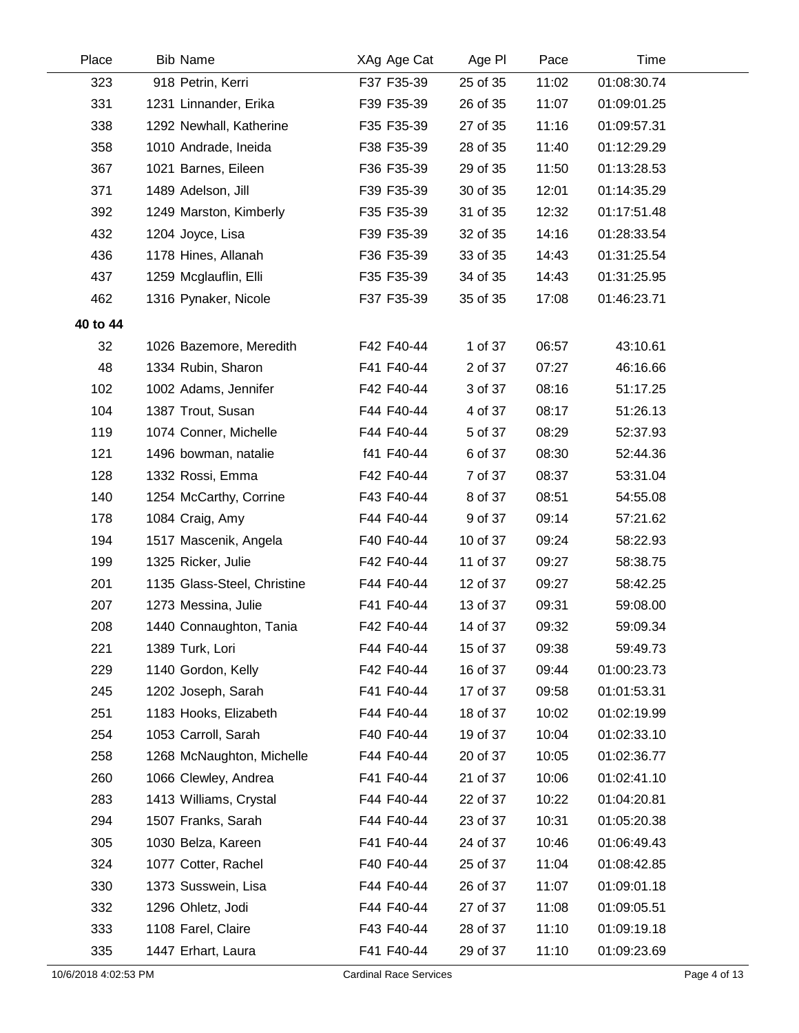| Place    | <b>Bib Name</b>             | XAg Age Cat | Age PI   | Pace  | Time        |  |
|----------|-----------------------------|-------------|----------|-------|-------------|--|
| 323      | 918 Petrin, Kerri           | F37 F35-39  | 25 of 35 | 11:02 | 01:08:30.74 |  |
| 331      | 1231 Linnander, Erika       | F39 F35-39  | 26 of 35 | 11:07 | 01:09:01.25 |  |
| 338      | 1292 Newhall, Katherine     | F35 F35-39  | 27 of 35 | 11:16 | 01:09:57.31 |  |
| 358      | 1010 Andrade, Ineida        | F38 F35-39  | 28 of 35 | 11:40 | 01:12:29.29 |  |
| 367      | 1021 Barnes, Eileen         | F36 F35-39  | 29 of 35 | 11:50 | 01:13:28.53 |  |
| 371      | 1489 Adelson, Jill          | F39 F35-39  | 30 of 35 | 12:01 | 01:14:35.29 |  |
| 392      | 1249 Marston, Kimberly      | F35 F35-39  | 31 of 35 | 12:32 | 01:17:51.48 |  |
| 432      | 1204 Joyce, Lisa            | F39 F35-39  | 32 of 35 | 14:16 | 01:28:33.54 |  |
| 436      | 1178 Hines, Allanah         | F36 F35-39  | 33 of 35 | 14:43 | 01:31:25.54 |  |
| 437      | 1259 Mcglauflin, Elli       | F35 F35-39  | 34 of 35 | 14:43 | 01:31:25.95 |  |
| 462      | 1316 Pynaker, Nicole        | F37 F35-39  | 35 of 35 | 17:08 | 01:46:23.71 |  |
| 40 to 44 |                             |             |          |       |             |  |
| 32       | 1026 Bazemore, Meredith     | F42 F40-44  | 1 of 37  | 06:57 | 43:10.61    |  |
| 48       | 1334 Rubin, Sharon          | F41 F40-44  | 2 of 37  | 07:27 | 46:16.66    |  |
| 102      | 1002 Adams, Jennifer        | F42 F40-44  | 3 of 37  | 08:16 | 51:17.25    |  |
| 104      | 1387 Trout, Susan           | F44 F40-44  | 4 of 37  | 08:17 | 51:26.13    |  |
| 119      | 1074 Conner, Michelle       | F44 F40-44  | 5 of 37  | 08:29 | 52:37.93    |  |
| 121      | 1496 bowman, natalie        | f41 F40-44  | 6 of 37  | 08:30 | 52:44.36    |  |
| 128      | 1332 Rossi, Emma            | F42 F40-44  | 7 of 37  | 08:37 | 53:31.04    |  |
| 140      | 1254 McCarthy, Corrine      | F43 F40-44  | 8 of 37  | 08:51 | 54:55.08    |  |
| 178      | 1084 Craig, Amy             | F44 F40-44  | 9 of 37  | 09:14 | 57:21.62    |  |
| 194      | 1517 Mascenik, Angela       | F40 F40-44  | 10 of 37 | 09:24 | 58:22.93    |  |
| 199      | 1325 Ricker, Julie          | F42 F40-44  | 11 of 37 | 09:27 | 58:38.75    |  |
| 201      | 1135 Glass-Steel, Christine | F44 F40-44  | 12 of 37 | 09:27 | 58:42.25    |  |
| 207      | 1273 Messina, Julie         | F41 F40-44  | 13 of 37 | 09:31 | 59:08.00    |  |
| 208      | 1440 Connaughton, Tania     | F42 F40-44  | 14 of 37 | 09:32 | 59:09.34    |  |
| 221      | 1389 Turk, Lori             | F44 F40-44  | 15 of 37 | 09:38 | 59:49.73    |  |
| 229      | 1140 Gordon, Kelly          | F42 F40-44  | 16 of 37 | 09:44 | 01:00:23.73 |  |
| 245      | 1202 Joseph, Sarah          | F41 F40-44  | 17 of 37 | 09:58 | 01:01:53.31 |  |
| 251      | 1183 Hooks, Elizabeth       | F44 F40-44  | 18 of 37 | 10:02 | 01:02:19.99 |  |
| 254      | 1053 Carroll, Sarah         | F40 F40-44  | 19 of 37 | 10:04 | 01:02:33.10 |  |
| 258      | 1268 McNaughton, Michelle   | F44 F40-44  | 20 of 37 | 10:05 | 01:02:36.77 |  |
| 260      | 1066 Clewley, Andrea        | F41 F40-44  | 21 of 37 | 10:06 | 01:02:41.10 |  |
| 283      | 1413 Williams, Crystal      | F44 F40-44  | 22 of 37 | 10:22 | 01:04:20.81 |  |
| 294      | 1507 Franks, Sarah          | F44 F40-44  | 23 of 37 | 10:31 | 01:05:20.38 |  |
| 305      | 1030 Belza, Kareen          | F41 F40-44  | 24 of 37 | 10:46 | 01:06:49.43 |  |
| 324      | 1077 Cotter, Rachel         | F40 F40-44  | 25 of 37 | 11:04 | 01:08:42.85 |  |
| 330      | 1373 Susswein, Lisa         | F44 F40-44  | 26 of 37 | 11:07 | 01:09:01.18 |  |
| 332      | 1296 Ohletz, Jodi           | F44 F40-44  | 27 of 37 | 11:08 | 01:09:05.51 |  |
| 333      | 1108 Farel, Claire          | F43 F40-44  | 28 of 37 | 11:10 | 01:09:19.18 |  |
| 335      | 1447 Erhart, Laura          | F41 F40-44  | 29 of 37 | 11:10 | 01:09:23.69 |  |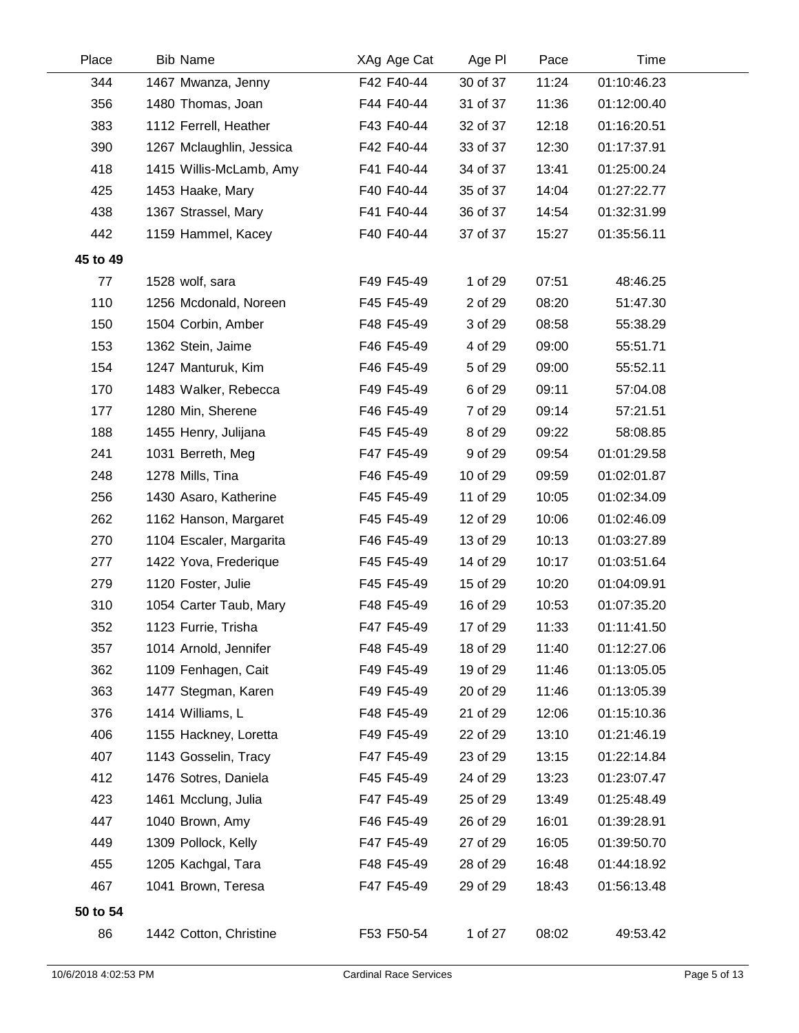| Place    | <b>Bib Name</b>          | XAg Age Cat | Age PI   | Pace  | Time        |  |
|----------|--------------------------|-------------|----------|-------|-------------|--|
| 344      | 1467 Mwanza, Jenny       | F42 F40-44  | 30 of 37 | 11:24 | 01:10:46.23 |  |
| 356      | 1480 Thomas, Joan        | F44 F40-44  | 31 of 37 | 11:36 | 01:12:00.40 |  |
| 383      | 1112 Ferrell, Heather    | F43 F40-44  | 32 of 37 | 12:18 | 01:16:20.51 |  |
| 390      | 1267 Mclaughlin, Jessica | F42 F40-44  | 33 of 37 | 12:30 | 01:17:37.91 |  |
| 418      | 1415 Willis-McLamb, Amy  | F41 F40-44  | 34 of 37 | 13:41 | 01:25:00.24 |  |
| 425      | 1453 Haake, Mary         | F40 F40-44  | 35 of 37 | 14:04 | 01:27:22.77 |  |
| 438      | 1367 Strassel, Mary      | F41 F40-44  | 36 of 37 | 14:54 | 01:32:31.99 |  |
| 442      | 1159 Hammel, Kacey       | F40 F40-44  | 37 of 37 | 15:27 | 01:35:56.11 |  |
| 45 to 49 |                          |             |          |       |             |  |
| 77       | 1528 wolf, sara          | F49 F45-49  | 1 of 29  | 07:51 | 48:46.25    |  |
| 110      | 1256 Mcdonald, Noreen    | F45 F45-49  | 2 of 29  | 08:20 | 51:47.30    |  |
| 150      | 1504 Corbin, Amber       | F48 F45-49  | 3 of 29  | 08:58 | 55:38.29    |  |
| 153      | 1362 Stein, Jaime        | F46 F45-49  | 4 of 29  | 09:00 | 55:51.71    |  |
| 154      | 1247 Manturuk, Kim       | F46 F45-49  | 5 of 29  | 09:00 | 55:52.11    |  |
| 170      | 1483 Walker, Rebecca     | F49 F45-49  | 6 of 29  | 09:11 | 57:04.08    |  |
| 177      | 1280 Min, Sherene        | F46 F45-49  | 7 of 29  | 09:14 | 57:21.51    |  |
| 188      | 1455 Henry, Julijana     | F45 F45-49  | 8 of 29  | 09:22 | 58:08.85    |  |
| 241      | 1031 Berreth, Meg        | F47 F45-49  | 9 of 29  | 09:54 | 01:01:29.58 |  |
| 248      | 1278 Mills, Tina         | F46 F45-49  | 10 of 29 | 09:59 | 01:02:01.87 |  |
| 256      | 1430 Asaro, Katherine    | F45 F45-49  | 11 of 29 | 10:05 | 01:02:34.09 |  |
| 262      | 1162 Hanson, Margaret    | F45 F45-49  | 12 of 29 | 10:06 | 01:02:46.09 |  |
| 270      | 1104 Escaler, Margarita  | F46 F45-49  | 13 of 29 | 10:13 | 01:03:27.89 |  |
| 277      | 1422 Yova, Frederique    | F45 F45-49  | 14 of 29 | 10:17 | 01:03:51.64 |  |
| 279      | 1120 Foster, Julie       | F45 F45-49  | 15 of 29 | 10:20 | 01:04:09.91 |  |
| 310      | 1054 Carter Taub, Mary   | F48 F45-49  | 16 of 29 | 10:53 | 01:07:35.20 |  |
| 352      | 1123 Furrie, Trisha      | F47 F45-49  | 17 of 29 | 11:33 | 01:11:41.50 |  |
| 357      | 1014 Arnold, Jennifer    | F48 F45-49  | 18 of 29 | 11:40 | 01:12:27.06 |  |
| 362      | 1109 Fenhagen, Cait      | F49 F45-49  | 19 of 29 | 11:46 | 01:13:05.05 |  |
| 363      | 1477 Stegman, Karen      | F49 F45-49  | 20 of 29 | 11:46 | 01:13:05.39 |  |
| 376      | 1414 Williams, L         | F48 F45-49  | 21 of 29 | 12:06 | 01:15:10.36 |  |
| 406      | 1155 Hackney, Loretta    | F49 F45-49  | 22 of 29 | 13:10 | 01:21:46.19 |  |
| 407      | 1143 Gosselin, Tracy     | F47 F45-49  | 23 of 29 | 13:15 | 01:22:14.84 |  |
| 412      | 1476 Sotres, Daniela     | F45 F45-49  | 24 of 29 | 13:23 | 01:23:07.47 |  |
| 423      | 1461 Mcclung, Julia      | F47 F45-49  | 25 of 29 | 13:49 | 01:25:48.49 |  |
| 447      | 1040 Brown, Amy          | F46 F45-49  | 26 of 29 | 16:01 | 01:39:28.91 |  |
| 449      | 1309 Pollock, Kelly      | F47 F45-49  | 27 of 29 | 16:05 | 01:39:50.70 |  |
| 455      | 1205 Kachgal, Tara       | F48 F45-49  | 28 of 29 | 16:48 | 01:44:18.92 |  |
| 467      | 1041 Brown, Teresa       | F47 F45-49  | 29 of 29 | 18:43 | 01:56:13.48 |  |
| 50 to 54 |                          |             |          |       |             |  |
| 86       | 1442 Cotton, Christine   | F53 F50-54  | 1 of 27  | 08:02 | 49:53.42    |  |
|          |                          |             |          |       |             |  |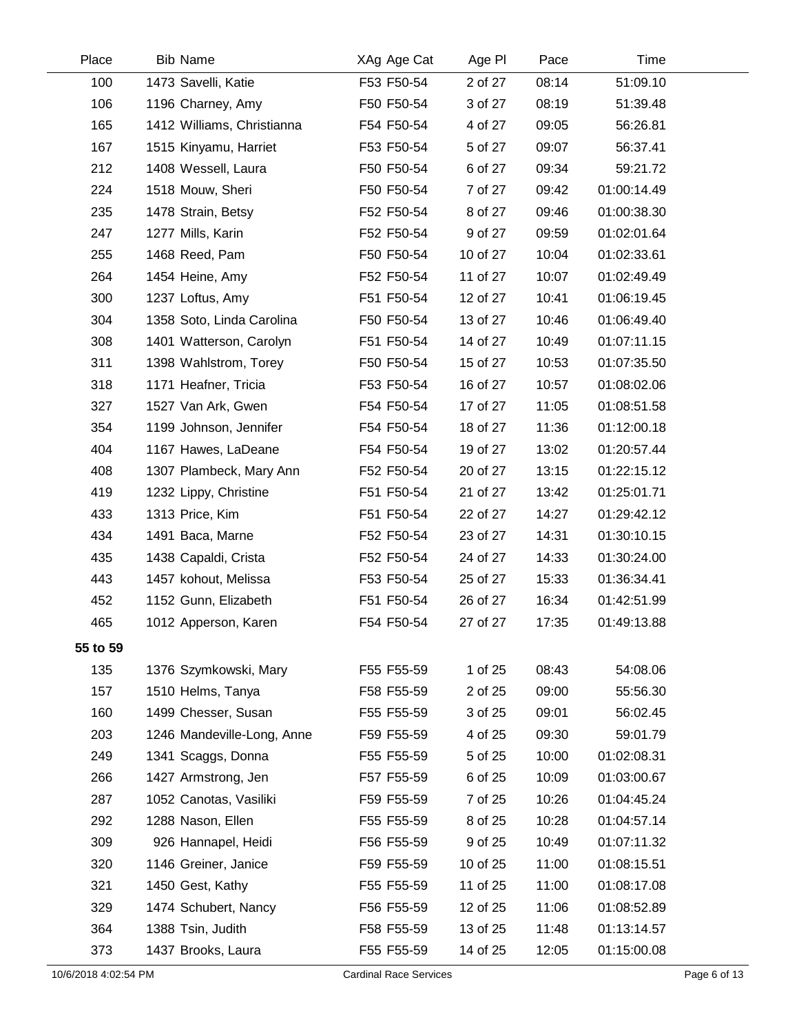| Place    | <b>Bib Name</b>            | XAg Age Cat | Age PI   | Pace  | Time        |  |
|----------|----------------------------|-------------|----------|-------|-------------|--|
| 100      | 1473 Savelli, Katie        | F53 F50-54  | 2 of 27  | 08:14 | 51:09.10    |  |
| 106      | 1196 Charney, Amy          | F50 F50-54  | 3 of 27  | 08:19 | 51:39.48    |  |
| 165      | 1412 Williams, Christianna | F54 F50-54  | 4 of 27  | 09:05 | 56:26.81    |  |
| 167      | 1515 Kinyamu, Harriet      | F53 F50-54  | 5 of 27  | 09:07 | 56:37.41    |  |
| 212      | 1408 Wessell, Laura        | F50 F50-54  | 6 of 27  | 09:34 | 59:21.72    |  |
| 224      | 1518 Mouw, Sheri           | F50 F50-54  | 7 of 27  | 09:42 | 01:00:14.49 |  |
| 235      | 1478 Strain, Betsy         | F52 F50-54  | 8 of 27  | 09:46 | 01:00:38.30 |  |
| 247      | 1277 Mills, Karin          | F52 F50-54  | 9 of 27  | 09:59 | 01:02:01.64 |  |
| 255      | 1468 Reed, Pam             | F50 F50-54  | 10 of 27 | 10:04 | 01:02:33.61 |  |
| 264      | 1454 Heine, Amy            | F52 F50-54  | 11 of 27 | 10:07 | 01:02:49.49 |  |
| 300      | 1237 Loftus, Amy           | F51 F50-54  | 12 of 27 | 10:41 | 01:06:19.45 |  |
| 304      | 1358 Soto, Linda Carolina  | F50 F50-54  | 13 of 27 | 10:46 | 01:06:49.40 |  |
| 308      | 1401 Watterson, Carolyn    | F51 F50-54  | 14 of 27 | 10:49 | 01:07:11.15 |  |
| 311      | 1398 Wahlstrom, Torey      | F50 F50-54  | 15 of 27 | 10:53 | 01:07:35.50 |  |
| 318      | 1171 Heafner, Tricia       | F53 F50-54  | 16 of 27 | 10:57 | 01:08:02.06 |  |
| 327      | 1527 Van Ark, Gwen         | F54 F50-54  | 17 of 27 | 11:05 | 01:08:51.58 |  |
| 354      | 1199 Johnson, Jennifer     | F54 F50-54  | 18 of 27 | 11:36 | 01:12:00.18 |  |
| 404      | 1167 Hawes, LaDeane        | F54 F50-54  | 19 of 27 | 13:02 | 01:20:57.44 |  |
| 408      | 1307 Plambeck, Mary Ann    | F52 F50-54  | 20 of 27 | 13:15 | 01:22:15.12 |  |
| 419      | 1232 Lippy, Christine      | F51 F50-54  | 21 of 27 | 13:42 | 01:25:01.71 |  |
| 433      | 1313 Price, Kim            | F51 F50-54  | 22 of 27 | 14:27 | 01:29:42.12 |  |
| 434      | 1491 Baca, Marne           | F52 F50-54  | 23 of 27 | 14:31 | 01:30:10.15 |  |
| 435      | 1438 Capaldi, Crista       | F52 F50-54  | 24 of 27 | 14:33 | 01:30:24.00 |  |
| 443      | 1457 kohout, Melissa       | F53 F50-54  | 25 of 27 | 15:33 | 01:36:34.41 |  |
| 452      | 1152 Gunn, Elizabeth       | F51 F50-54  | 26 of 27 | 16:34 | 01:42:51.99 |  |
| 465      | 1012 Apperson, Karen       | F54 F50-54  | 27 of 27 | 17:35 | 01:49:13.88 |  |
| 55 to 59 |                            |             |          |       |             |  |
| 135      | 1376 Szymkowski, Mary      | F55 F55-59  | 1 of 25  | 08:43 | 54:08.06    |  |
| 157      | 1510 Helms, Tanya          | F58 F55-59  | 2 of 25  | 09:00 | 55:56.30    |  |
| 160      | 1499 Chesser, Susan        | F55 F55-59  | 3 of 25  | 09:01 | 56:02.45    |  |
| 203      | 1246 Mandeville-Long, Anne | F59 F55-59  | 4 of 25  | 09:30 | 59:01.79    |  |
| 249      | 1341 Scaggs, Donna         | F55 F55-59  | 5 of 25  | 10:00 | 01:02:08.31 |  |
| 266      | 1427 Armstrong, Jen        | F57 F55-59  | 6 of 25  | 10:09 | 01:03:00.67 |  |
| 287      | 1052 Canotas, Vasiliki     | F59 F55-59  | 7 of 25  | 10:26 | 01:04:45.24 |  |
| 292      | 1288 Nason, Ellen          | F55 F55-59  | 8 of 25  | 10:28 | 01:04:57.14 |  |
| 309      | 926 Hannapel, Heidi        | F56 F55-59  | 9 of 25  | 10:49 | 01:07:11.32 |  |
| 320      | 1146 Greiner, Janice       | F59 F55-59  | 10 of 25 | 11:00 | 01:08:15.51 |  |
| 321      | 1450 Gest, Kathy           | F55 F55-59  | 11 of 25 | 11:00 | 01:08:17.08 |  |
| 329      | 1474 Schubert, Nancy       | F56 F55-59  | 12 of 25 | 11:06 | 01:08:52.89 |  |
| 364      | 1388 Tsin, Judith          | F58 F55-59  | 13 of 25 | 11:48 | 01:13:14.57 |  |
| 373      | 1437 Brooks, Laura         | F55 F55-59  | 14 of 25 | 12:05 | 01:15:00.08 |  |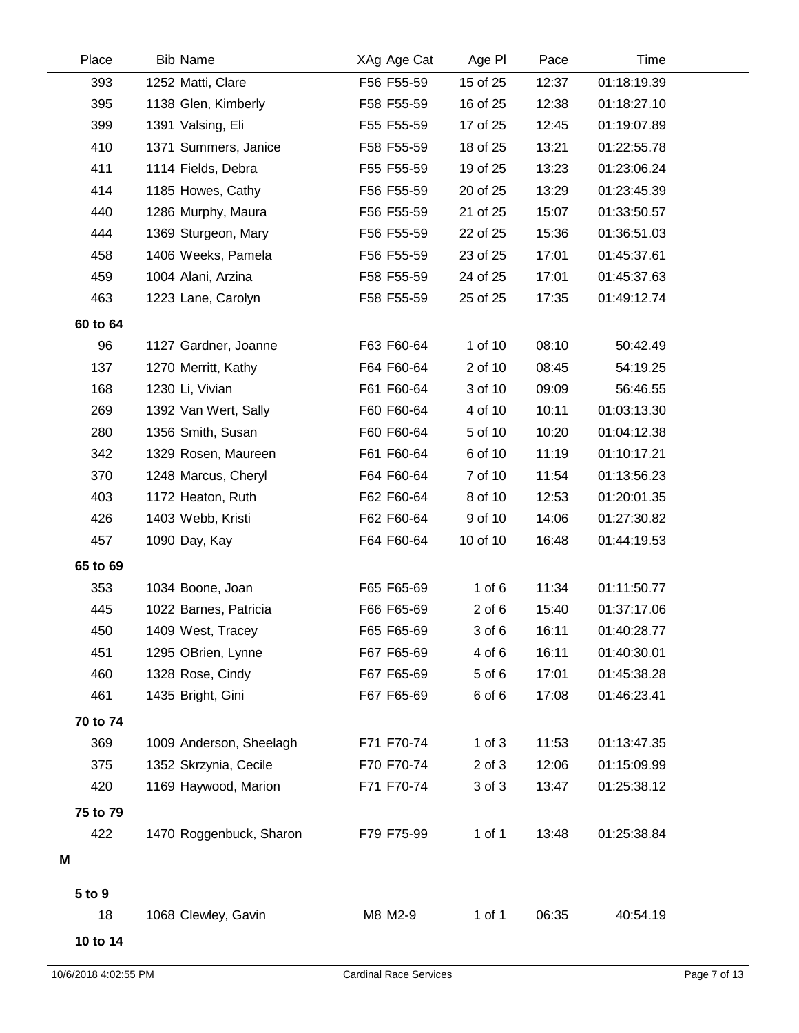| Place    | <b>Bib Name</b>         | XAg Age Cat | Age PI     | Pace  | Time        |  |
|----------|-------------------------|-------------|------------|-------|-------------|--|
| 393      | 1252 Matti, Clare       | F56 F55-59  | 15 of 25   | 12:37 | 01:18:19.39 |  |
| 395      | 1138 Glen, Kimberly     | F58 F55-59  | 16 of 25   | 12:38 | 01:18:27.10 |  |
| 399      | 1391 Valsing, Eli       | F55 F55-59  | 17 of 25   | 12:45 | 01:19:07.89 |  |
| 410      | 1371 Summers, Janice    | F58 F55-59  | 18 of 25   | 13:21 | 01:22:55.78 |  |
| 411      | 1114 Fields, Debra      | F55 F55-59  | 19 of 25   | 13:23 | 01:23:06.24 |  |
| 414      | 1185 Howes, Cathy       | F56 F55-59  | 20 of 25   | 13:29 | 01:23:45.39 |  |
| 440      | 1286 Murphy, Maura      | F56 F55-59  | 21 of 25   | 15:07 | 01:33:50.57 |  |
| 444      | 1369 Sturgeon, Mary     | F56 F55-59  | 22 of 25   | 15:36 | 01:36:51.03 |  |
| 458      | 1406 Weeks, Pamela      | F56 F55-59  | 23 of 25   | 17:01 | 01:45:37.61 |  |
| 459      | 1004 Alani, Arzina      | F58 F55-59  | 24 of 25   | 17:01 | 01:45:37.63 |  |
| 463      | 1223 Lane, Carolyn      | F58 F55-59  | 25 of 25   | 17:35 | 01:49:12.74 |  |
| 60 to 64 |                         |             |            |       |             |  |
| 96       | 1127 Gardner, Joanne    | F63 F60-64  | 1 of 10    | 08:10 | 50:42.49    |  |
| 137      | 1270 Merritt, Kathy     | F64 F60-64  | 2 of 10    | 08:45 | 54:19.25    |  |
| 168      | 1230 Li, Vivian         | F61 F60-64  | 3 of 10    | 09:09 | 56:46.55    |  |
| 269      | 1392 Van Wert, Sally    | F60 F60-64  | 4 of 10    | 10:11 | 01:03:13.30 |  |
| 280      | 1356 Smith, Susan       | F60 F60-64  | 5 of 10    | 10:20 | 01:04:12.38 |  |
| 342      | 1329 Rosen, Maureen     | F61 F60-64  | 6 of 10    | 11:19 | 01:10:17.21 |  |
| 370      | 1248 Marcus, Cheryl     | F64 F60-64  | 7 of 10    | 11:54 | 01:13:56.23 |  |
| 403      | 1172 Heaton, Ruth       | F62 F60-64  | 8 of 10    | 12:53 | 01:20:01.35 |  |
| 426      | 1403 Webb, Kristi       | F62 F60-64  | 9 of 10    | 14:06 | 01:27:30.82 |  |
| 457      | 1090 Day, Kay           | F64 F60-64  | 10 of 10   | 16:48 | 01:44:19.53 |  |
| 65 to 69 |                         |             |            |       |             |  |
| 353      | 1034 Boone, Joan        | F65 F65-69  | $1$ of $6$ | 11:34 | 01:11:50.77 |  |
| 445      | 1022 Barnes, Patricia   | F66 F65-69  | $2$ of $6$ | 15:40 | 01:37:17.06 |  |
| 450      | 1409 West, Tracey       | F65 F65-69  | 3 of 6     | 16:11 | 01:40:28.77 |  |
| 451      | 1295 OBrien, Lynne      | F67 F65-69  | 4 of 6     | 16:11 | 01:40:30.01 |  |
| 460      | 1328 Rose, Cindy        | F67 F65-69  | 5 of 6     | 17:01 | 01:45:38.28 |  |
| 461      | 1435 Bright, Gini       | F67 F65-69  | 6 of 6     | 17:08 | 01:46:23.41 |  |
| 70 to 74 |                         |             |            |       |             |  |
| 369      | 1009 Anderson, Sheelagh | F71 F70-74  | $1$ of $3$ | 11:53 | 01:13:47.35 |  |
| 375      | 1352 Skrzynia, Cecile   | F70 F70-74  | $2$ of $3$ | 12:06 | 01:15:09.99 |  |
| 420      | 1169 Haywood, Marion    | F71 F70-74  | 3 of 3     | 13:47 | 01:25:38.12 |  |
| 75 to 79 |                         |             |            |       |             |  |
| 422      | 1470 Roggenbuck, Sharon | F79 F75-99  | 1 of 1     | 13:48 | 01:25:38.84 |  |
| M        |                         |             |            |       |             |  |
|          |                         |             |            |       |             |  |
| 5 to 9   |                         |             |            |       |             |  |
| 18       | 1068 Clewley, Gavin     | M8 M2-9     | $1$ of $1$ | 06:35 | 40:54.19    |  |
| 10 to 14 |                         |             |            |       |             |  |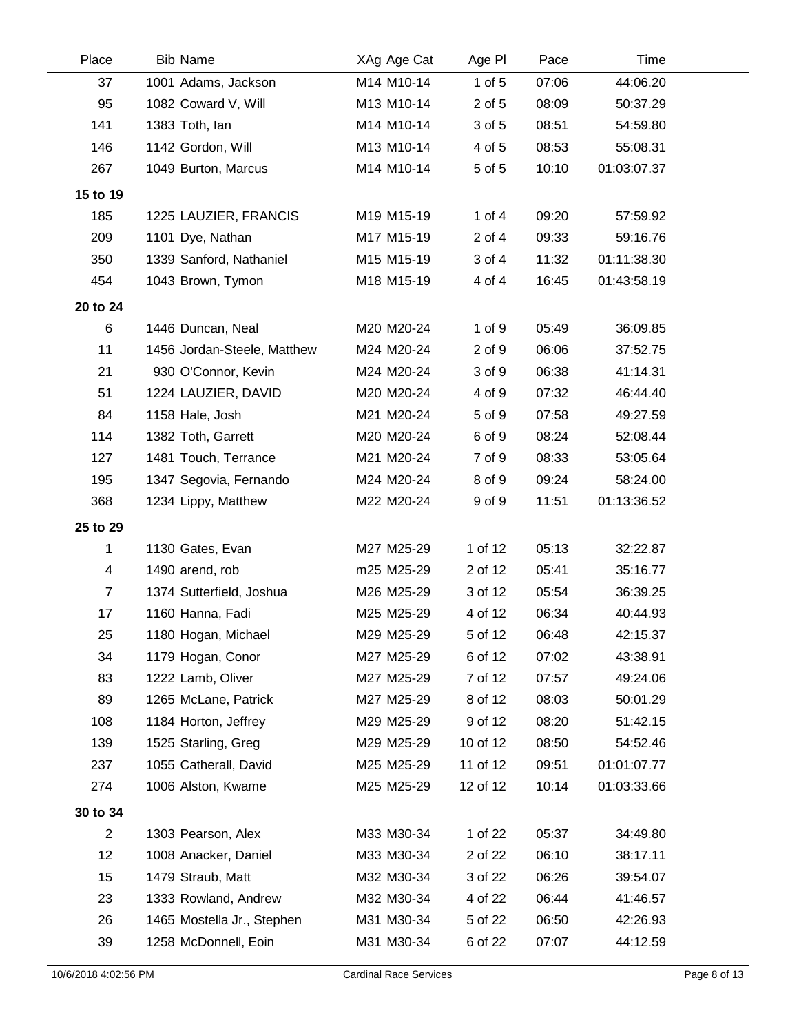| Place          | <b>Bib Name</b>             | XAg Age Cat | Age PI     | Pace  | Time        |  |
|----------------|-----------------------------|-------------|------------|-------|-------------|--|
| 37             | 1001 Adams, Jackson         | M14 M10-14  | $1$ of $5$ | 07:06 | 44:06.20    |  |
| 95             | 1082 Coward V, Will         | M13 M10-14  | 2 of 5     | 08:09 | 50:37.29    |  |
| 141            | 1383 Toth, lan              | M14 M10-14  | 3 of 5     | 08:51 | 54:59.80    |  |
| 146            | 1142 Gordon, Will           | M13 M10-14  | 4 of 5     | 08:53 | 55:08.31    |  |
| 267            | 1049 Burton, Marcus         | M14 M10-14  | 5 of 5     | 10:10 | 01:03:07.37 |  |
| 15 to 19       |                             |             |            |       |             |  |
| 185            | 1225 LAUZIER, FRANCIS       | M19 M15-19  | 1 of $4$   | 09:20 | 57:59.92    |  |
| 209            | 1101 Dye, Nathan            | M17 M15-19  | $2$ of $4$ | 09:33 | 59:16.76    |  |
| 350            | 1339 Sanford, Nathaniel     | M15 M15-19  | 3 of 4     | 11:32 | 01:11:38.30 |  |
| 454            | 1043 Brown, Tymon           | M18 M15-19  | 4 of 4     | 16:45 | 01:43:58.19 |  |
| 20 to 24       |                             |             |            |       |             |  |
| 6              | 1446 Duncan, Neal           | M20 M20-24  | 1 of 9     | 05:49 | 36:09.85    |  |
| 11             | 1456 Jordan-Steele, Matthew | M24 M20-24  | 2 of 9     | 06:06 | 37:52.75    |  |
| 21             | 930 O'Connor, Kevin         | M24 M20-24  | 3 of 9     | 06:38 | 41:14.31    |  |
| 51             | 1224 LAUZIER, DAVID         | M20 M20-24  | 4 of 9     | 07:32 | 46:44.40    |  |
| 84             | 1158 Hale, Josh             | M21 M20-24  | 5 of 9     | 07:58 | 49:27.59    |  |
| 114            | 1382 Toth, Garrett          | M20 M20-24  | 6 of 9     | 08:24 | 52:08.44    |  |
| 127            | 1481 Touch, Terrance        | M21 M20-24  | 7 of 9     | 08:33 | 53:05.64    |  |
| 195            | 1347 Segovia, Fernando      | M24 M20-24  | 8 of 9     | 09:24 | 58:24.00    |  |
| 368            | 1234 Lippy, Matthew         | M22 M20-24  | 9 of 9     | 11:51 | 01:13:36.52 |  |
| 25 to 29       |                             |             |            |       |             |  |
| 1              | 1130 Gates, Evan            | M27 M25-29  | 1 of 12    | 05:13 | 32:22.87    |  |
| 4              | 1490 arend, rob             | m25 M25-29  | 2 of 12    | 05:41 | 35:16.77    |  |
| $\overline{7}$ | 1374 Sutterfield, Joshua    | M26 M25-29  | 3 of 12    | 05:54 | 36:39.25    |  |
| 17             | 1160 Hanna, Fadi            | M25 M25-29  | 4 of 12    | 06:34 | 40:44.93    |  |
| 25             | 1180 Hogan, Michael         | M29 M25-29  | 5 of 12    | 06:48 | 42:15.37    |  |
| 34             | 1179 Hogan, Conor           | M27 M25-29  | 6 of 12    | 07:02 | 43:38.91    |  |
| 83             | 1222 Lamb, Oliver           | M27 M25-29  | 7 of 12    | 07:57 | 49:24.06    |  |
| 89             | 1265 McLane, Patrick        | M27 M25-29  | 8 of 12    | 08:03 | 50:01.29    |  |
| 108            | 1184 Horton, Jeffrey        | M29 M25-29  | 9 of 12    | 08:20 | 51:42.15    |  |
| 139            | 1525 Starling, Greg         | M29 M25-29  | 10 of 12   | 08:50 | 54:52.46    |  |
| 237            | 1055 Catherall, David       | M25 M25-29  | 11 of 12   | 09:51 | 01:01:07.77 |  |
| 274            | 1006 Alston, Kwame          | M25 M25-29  | 12 of 12   | 10:14 | 01:03:33.66 |  |
| 30 to 34       |                             |             |            |       |             |  |
| $\overline{2}$ | 1303 Pearson, Alex          | M33 M30-34  | 1 of 22    | 05:37 | 34:49.80    |  |
| 12             | 1008 Anacker, Daniel        | M33 M30-34  | 2 of 22    | 06:10 | 38:17.11    |  |
| 15             | 1479 Straub, Matt           | M32 M30-34  | 3 of 22    | 06:26 | 39:54.07    |  |
| 23             | 1333 Rowland, Andrew        | M32 M30-34  | 4 of 22    | 06:44 | 41:46.57    |  |
| 26             | 1465 Mostella Jr., Stephen  | M31 M30-34  | 5 of 22    | 06:50 | 42:26.93    |  |
| 39             | 1258 McDonnell, Eoin        | M31 M30-34  | 6 of 22    | 07:07 | 44:12.59    |  |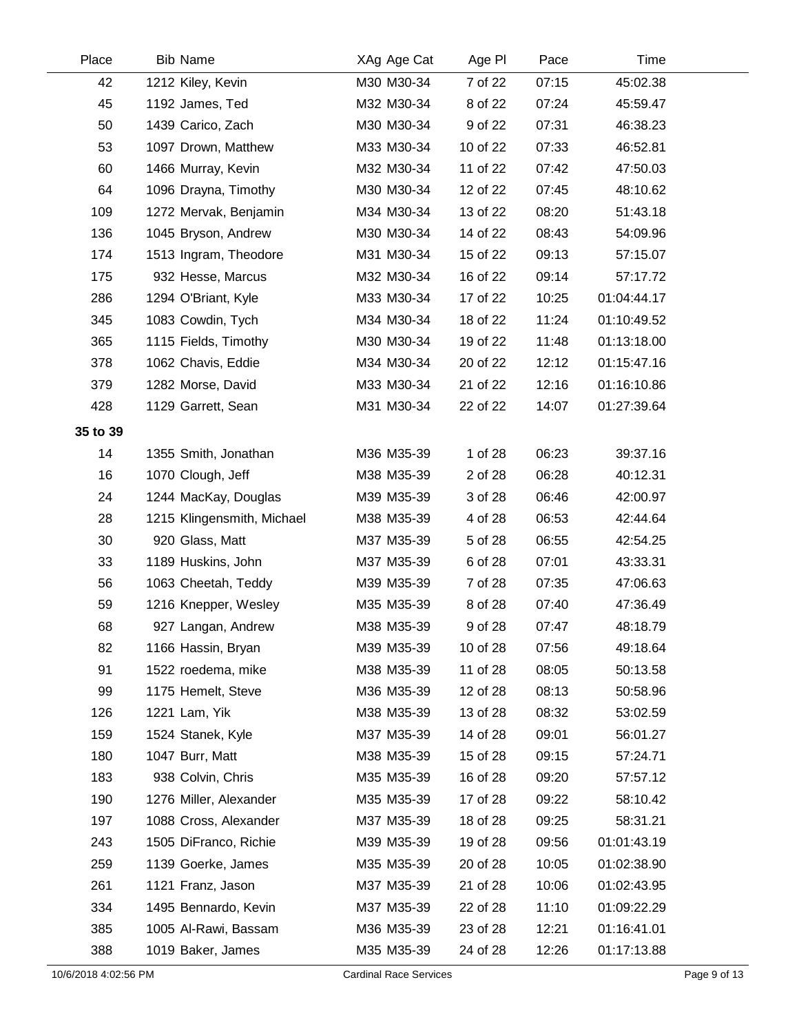| Place    | <b>Bib Name</b>            | XAg Age Cat | Age PI   | Pace  | Time        |  |
|----------|----------------------------|-------------|----------|-------|-------------|--|
| 42       | 1212 Kiley, Kevin          | M30 M30-34  | 7 of 22  | 07:15 | 45:02.38    |  |
| 45       | 1192 James, Ted            | M32 M30-34  | 8 of 22  | 07:24 | 45:59.47    |  |
| 50       | 1439 Carico, Zach          | M30 M30-34  | 9 of 22  | 07:31 | 46:38.23    |  |
| 53       | 1097 Drown, Matthew        | M33 M30-34  | 10 of 22 | 07:33 | 46:52.81    |  |
| 60       | 1466 Murray, Kevin         | M32 M30-34  | 11 of 22 | 07:42 | 47:50.03    |  |
| 64       | 1096 Drayna, Timothy       | M30 M30-34  | 12 of 22 | 07:45 | 48:10.62    |  |
| 109      | 1272 Mervak, Benjamin      | M34 M30-34  | 13 of 22 | 08:20 | 51:43.18    |  |
| 136      | 1045 Bryson, Andrew        | M30 M30-34  | 14 of 22 | 08:43 | 54:09.96    |  |
| 174      | 1513 Ingram, Theodore      | M31 M30-34  | 15 of 22 | 09:13 | 57:15.07    |  |
| 175      | 932 Hesse, Marcus          | M32 M30-34  | 16 of 22 | 09:14 | 57:17.72    |  |
| 286      | 1294 O'Briant, Kyle        | M33 M30-34  | 17 of 22 | 10:25 | 01:04:44.17 |  |
| 345      | 1083 Cowdin, Tych          | M34 M30-34  | 18 of 22 | 11:24 | 01:10:49.52 |  |
| 365      | 1115 Fields, Timothy       | M30 M30-34  | 19 of 22 | 11:48 | 01:13:18.00 |  |
| 378      | 1062 Chavis, Eddie         | M34 M30-34  | 20 of 22 | 12:12 | 01:15:47.16 |  |
| 379      | 1282 Morse, David          | M33 M30-34  | 21 of 22 | 12:16 | 01:16:10.86 |  |
| 428      | 1129 Garrett, Sean         | M31 M30-34  | 22 of 22 | 14:07 | 01:27:39.64 |  |
| 35 to 39 |                            |             |          |       |             |  |
| 14       | 1355 Smith, Jonathan       | M36 M35-39  | 1 of 28  | 06:23 | 39:37.16    |  |
| 16       | 1070 Clough, Jeff          | M38 M35-39  | 2 of 28  | 06:28 | 40:12.31    |  |
| 24       | 1244 MacKay, Douglas       | M39 M35-39  | 3 of 28  | 06:46 | 42:00.97    |  |
| 28       | 1215 Klingensmith, Michael | M38 M35-39  | 4 of 28  | 06:53 | 42:44.64    |  |
| 30       | 920 Glass, Matt            | M37 M35-39  | 5 of 28  | 06:55 | 42:54.25    |  |
| 33       | 1189 Huskins, John         | M37 M35-39  | 6 of 28  | 07:01 | 43:33.31    |  |
| 56       | 1063 Cheetah, Teddy        | M39 M35-39  | 7 of 28  | 07:35 | 47:06.63    |  |
| 59       | 1216 Knepper, Wesley       | M35 M35-39  | 8 of 28  | 07:40 | 47:36.49    |  |
| 68       | 927 Langan, Andrew         | M38 M35-39  | 9 of 28  | 07:47 | 48:18.79    |  |
| 82       | 1166 Hassin, Bryan         | M39 M35-39  | 10 of 28 | 07:56 | 49:18.64    |  |
| 91       | 1522 roedema, mike         | M38 M35-39  | 11 of 28 | 08:05 | 50:13.58    |  |
| 99       | 1175 Hemelt, Steve         | M36 M35-39  | 12 of 28 | 08:13 | 50:58.96    |  |
| 126      | 1221 Lam, Yik              | M38 M35-39  | 13 of 28 | 08:32 | 53:02.59    |  |
| 159      | 1524 Stanek, Kyle          | M37 M35-39  | 14 of 28 | 09:01 | 56:01.27    |  |
| 180      | 1047 Burr, Matt            | M38 M35-39  | 15 of 28 | 09:15 | 57:24.71    |  |
| 183      | 938 Colvin, Chris          | M35 M35-39  | 16 of 28 | 09:20 | 57:57.12    |  |
| 190      | 1276 Miller, Alexander     | M35 M35-39  | 17 of 28 | 09:22 | 58:10.42    |  |
| 197      | 1088 Cross, Alexander      | M37 M35-39  | 18 of 28 | 09:25 | 58:31.21    |  |
| 243      | 1505 DiFranco, Richie      | M39 M35-39  | 19 of 28 | 09:56 | 01:01:43.19 |  |
| 259      | 1139 Goerke, James         | M35 M35-39  | 20 of 28 | 10:05 | 01:02:38.90 |  |
| 261      | 1121 Franz, Jason          | M37 M35-39  | 21 of 28 | 10:06 | 01:02:43.95 |  |
| 334      | 1495 Bennardo, Kevin       | M37 M35-39  | 22 of 28 | 11:10 | 01:09:22.29 |  |
| 385      | 1005 Al-Rawi, Bassam       | M36 M35-39  | 23 of 28 | 12:21 | 01:16:41.01 |  |
| 388      | 1019 Baker, James          | M35 M35-39  | 24 of 28 | 12:26 | 01:17:13.88 |  |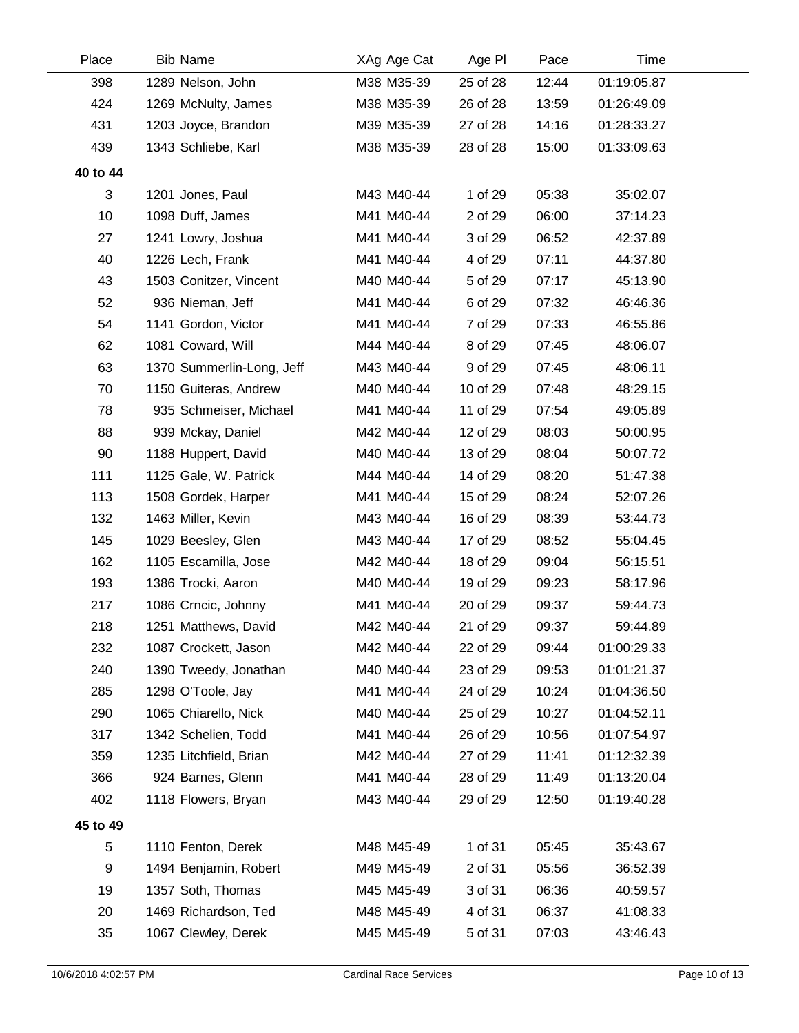| Place    | <b>Bib Name</b>           | XAg Age Cat | Age PI   | Pace  | Time        |  |
|----------|---------------------------|-------------|----------|-------|-------------|--|
| 398      | 1289 Nelson, John         | M38 M35-39  | 25 of 28 | 12:44 | 01:19:05.87 |  |
| 424      | 1269 McNulty, James       | M38 M35-39  | 26 of 28 | 13:59 | 01:26:49.09 |  |
| 431      | 1203 Joyce, Brandon       | M39 M35-39  | 27 of 28 | 14:16 | 01:28:33.27 |  |
| 439      | 1343 Schliebe, Karl       | M38 M35-39  | 28 of 28 | 15:00 | 01:33:09.63 |  |
| 40 to 44 |                           |             |          |       |             |  |
| 3        | 1201 Jones, Paul          | M43 M40-44  | 1 of 29  | 05:38 | 35:02.07    |  |
| 10       | 1098 Duff, James          | M41 M40-44  | 2 of 29  | 06:00 | 37:14.23    |  |
| 27       | 1241 Lowry, Joshua        | M41 M40-44  | 3 of 29  | 06:52 | 42:37.89    |  |
| 40       | 1226 Lech, Frank          | M41 M40-44  | 4 of 29  | 07:11 | 44:37.80    |  |
| 43       | 1503 Conitzer, Vincent    | M40 M40-44  | 5 of 29  | 07:17 | 45:13.90    |  |
| 52       | 936 Nieman, Jeff          | M41 M40-44  | 6 of 29  | 07:32 | 46:46.36    |  |
| 54       | 1141 Gordon, Victor       | M41 M40-44  | 7 of 29  | 07:33 | 46:55.86    |  |
| 62       | 1081 Coward, Will         | M44 M40-44  | 8 of 29  | 07:45 | 48:06.07    |  |
| 63       | 1370 Summerlin-Long, Jeff | M43 M40-44  | 9 of 29  | 07:45 | 48:06.11    |  |
| 70       | 1150 Guiteras, Andrew     | M40 M40-44  | 10 of 29 | 07:48 | 48:29.15    |  |
| 78       | 935 Schmeiser, Michael    | M41 M40-44  | 11 of 29 | 07:54 | 49:05.89    |  |
| 88       | 939 Mckay, Daniel         | M42 M40-44  | 12 of 29 | 08:03 | 50:00.95    |  |
| 90       | 1188 Huppert, David       | M40 M40-44  | 13 of 29 | 08:04 | 50:07.72    |  |
| 111      | 1125 Gale, W. Patrick     | M44 M40-44  | 14 of 29 | 08:20 | 51:47.38    |  |
| 113      | 1508 Gordek, Harper       | M41 M40-44  | 15 of 29 | 08:24 | 52:07.26    |  |
| 132      | 1463 Miller, Kevin        | M43 M40-44  | 16 of 29 | 08:39 | 53:44.73    |  |
| 145      | 1029 Beesley, Glen        | M43 M40-44  | 17 of 29 | 08:52 | 55:04.45    |  |
| 162      | 1105 Escamilla, Jose      | M42 M40-44  | 18 of 29 | 09:04 | 56:15.51    |  |
| 193      | 1386 Trocki, Aaron        | M40 M40-44  | 19 of 29 | 09:23 | 58:17.96    |  |
| 217      | 1086 Crncic, Johnny       | M41 M40-44  | 20 of 29 | 09:37 | 59:44.73    |  |
| 218      | 1251 Matthews, David      | M42 M40-44  | 21 of 29 | 09:37 | 59:44.89    |  |
| 232      | 1087 Crockett, Jason      | M42 M40-44  | 22 of 29 | 09:44 | 01:00:29.33 |  |
| 240      | 1390 Tweedy, Jonathan     | M40 M40-44  | 23 of 29 | 09:53 | 01:01:21.37 |  |
| 285      | 1298 O'Toole, Jay         | M41 M40-44  | 24 of 29 | 10:24 | 01:04:36.50 |  |
| 290      | 1065 Chiarello, Nick      | M40 M40-44  | 25 of 29 | 10:27 | 01:04:52.11 |  |
| 317      | 1342 Schelien, Todd       | M41 M40-44  | 26 of 29 | 10:56 | 01:07:54.97 |  |
| 359      | 1235 Litchfield, Brian    | M42 M40-44  | 27 of 29 | 11:41 | 01:12:32.39 |  |
| 366      | 924 Barnes, Glenn         | M41 M40-44  | 28 of 29 | 11:49 | 01:13:20.04 |  |
| 402      | 1118 Flowers, Bryan       | M43 M40-44  | 29 of 29 | 12:50 | 01:19:40.28 |  |
| 45 to 49 |                           |             |          |       |             |  |
| 5        | 1110 Fenton, Derek        | M48 M45-49  | 1 of 31  | 05:45 | 35:43.67    |  |
| 9        | 1494 Benjamin, Robert     | M49 M45-49  | 2 of 31  | 05:56 | 36:52.39    |  |
| 19       | 1357 Soth, Thomas         | M45 M45-49  | 3 of 31  | 06:36 | 40:59.57    |  |
| 20       | 1469 Richardson, Ted      | M48 M45-49  | 4 of 31  | 06:37 | 41:08.33    |  |
| 35       | 1067 Clewley, Derek       | M45 M45-49  | 5 of 31  | 07:03 | 43:46.43    |  |
|          |                           |             |          |       |             |  |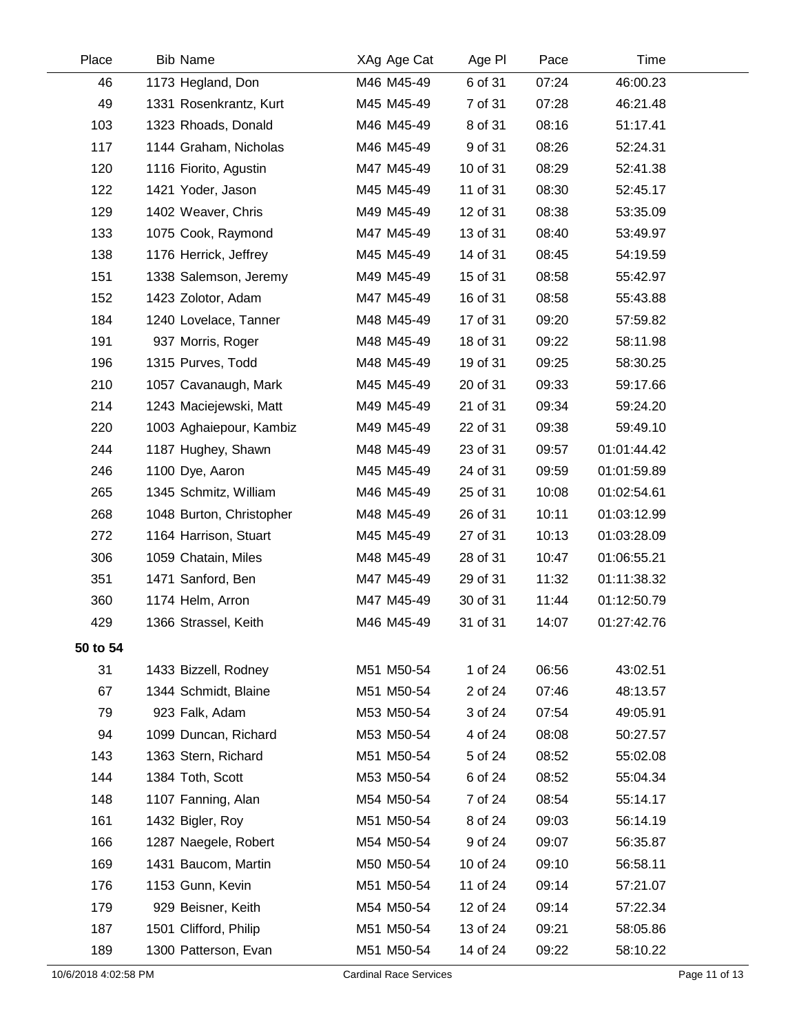| Place    | <b>Bib Name</b>          | XAg Age Cat | Age PI   | Pace  | Time        |  |
|----------|--------------------------|-------------|----------|-------|-------------|--|
| 46       | 1173 Hegland, Don        | M46 M45-49  | 6 of 31  | 07:24 | 46:00.23    |  |
| 49       | 1331 Rosenkrantz, Kurt   | M45 M45-49  | 7 of 31  | 07:28 | 46:21.48    |  |
| 103      | 1323 Rhoads, Donald      | M46 M45-49  | 8 of 31  | 08:16 | 51:17.41    |  |
| 117      | 1144 Graham, Nicholas    | M46 M45-49  | 9 of 31  | 08:26 | 52:24.31    |  |
| 120      | 1116 Fiorito, Agustin    | M47 M45-49  | 10 of 31 | 08:29 | 52:41.38    |  |
| 122      | 1421 Yoder, Jason        | M45 M45-49  | 11 of 31 | 08:30 | 52:45.17    |  |
| 129      | 1402 Weaver, Chris       | M49 M45-49  | 12 of 31 | 08:38 | 53:35.09    |  |
| 133      | 1075 Cook, Raymond       | M47 M45-49  | 13 of 31 | 08:40 | 53:49.97    |  |
| 138      | 1176 Herrick, Jeffrey    | M45 M45-49  | 14 of 31 | 08:45 | 54:19.59    |  |
| 151      | 1338 Salemson, Jeremy    | M49 M45-49  | 15 of 31 | 08:58 | 55:42.97    |  |
| 152      | 1423 Zolotor, Adam       | M47 M45-49  | 16 of 31 | 08:58 | 55:43.88    |  |
| 184      | 1240 Lovelace, Tanner    | M48 M45-49  | 17 of 31 | 09:20 | 57:59.82    |  |
| 191      | 937 Morris, Roger        | M48 M45-49  | 18 of 31 | 09:22 | 58:11.98    |  |
| 196      | 1315 Purves, Todd        | M48 M45-49  | 19 of 31 | 09:25 | 58:30.25    |  |
| 210      | 1057 Cavanaugh, Mark     | M45 M45-49  | 20 of 31 | 09:33 | 59:17.66    |  |
| 214      | 1243 Maciejewski, Matt   | M49 M45-49  | 21 of 31 | 09:34 | 59:24.20    |  |
| 220      | 1003 Aghaiepour, Kambiz  | M49 M45-49  | 22 of 31 | 09:38 | 59:49.10    |  |
| 244      | 1187 Hughey, Shawn       | M48 M45-49  | 23 of 31 | 09:57 | 01:01:44.42 |  |
| 246      | 1100 Dye, Aaron          | M45 M45-49  | 24 of 31 | 09:59 | 01:01:59.89 |  |
| 265      | 1345 Schmitz, William    | M46 M45-49  | 25 of 31 | 10:08 | 01:02:54.61 |  |
| 268      | 1048 Burton, Christopher | M48 M45-49  | 26 of 31 | 10:11 | 01:03:12.99 |  |
| 272      | 1164 Harrison, Stuart    | M45 M45-49  | 27 of 31 | 10:13 | 01:03:28.09 |  |
| 306      | 1059 Chatain, Miles      | M48 M45-49  | 28 of 31 | 10:47 | 01:06:55.21 |  |
| 351      | 1471 Sanford, Ben        | M47 M45-49  | 29 of 31 | 11:32 | 01:11:38.32 |  |
| 360      | 1174 Helm, Arron         | M47 M45-49  | 30 of 31 | 11:44 | 01:12:50.79 |  |
| 429      | 1366 Strassel, Keith     | M46 M45-49  | 31 of 31 | 14:07 | 01:27:42.76 |  |
| 50 to 54 |                          |             |          |       |             |  |
| 31       | 1433 Bizzell, Rodney     | M51 M50-54  | 1 of 24  | 06:56 | 43:02.51    |  |
| 67       | 1344 Schmidt, Blaine     | M51 M50-54  | 2 of 24  | 07:46 | 48:13.57    |  |
| 79       | 923 Falk, Adam           | M53 M50-54  | 3 of 24  | 07:54 | 49:05.91    |  |
| 94       | 1099 Duncan, Richard     | M53 M50-54  | 4 of 24  | 08:08 | 50:27.57    |  |
| 143      | 1363 Stern, Richard      | M51 M50-54  | 5 of 24  | 08:52 | 55:02.08    |  |
| 144      | 1384 Toth, Scott         | M53 M50-54  | 6 of 24  | 08:52 | 55:04.34    |  |
| 148      | 1107 Fanning, Alan       | M54 M50-54  | 7 of 24  | 08:54 | 55:14.17    |  |
| 161      | 1432 Bigler, Roy         | M51 M50-54  | 8 of 24  | 09:03 | 56:14.19    |  |
| 166      | 1287 Naegele, Robert     | M54 M50-54  | 9 of 24  | 09:07 | 56:35.87    |  |
| 169      | 1431 Baucom, Martin      | M50 M50-54  | 10 of 24 | 09:10 | 56:58.11    |  |
| 176      | 1153 Gunn, Kevin         | M51 M50-54  | 11 of 24 | 09:14 | 57:21.07    |  |
| 179      | 929 Beisner, Keith       | M54 M50-54  | 12 of 24 | 09:14 | 57:22.34    |  |
| 187      | 1501 Clifford, Philip    | M51 M50-54  | 13 of 24 | 09:21 | 58:05.86    |  |
| 189      | 1300 Patterson, Evan     | M51 M50-54  | 14 of 24 | 09:22 | 58:10.22    |  |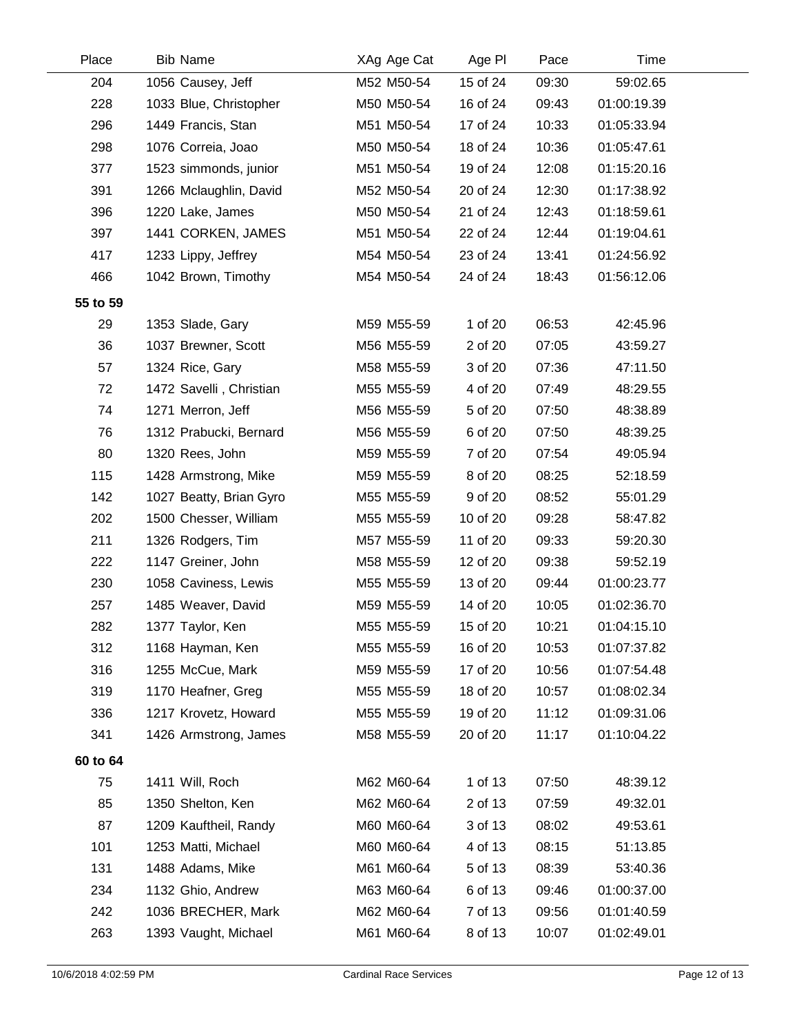| Place    | <b>Bib Name</b>         | XAg Age Cat | Age PI   | Pace  | Time        |  |
|----------|-------------------------|-------------|----------|-------|-------------|--|
| 204      | 1056 Causey, Jeff       | M52 M50-54  | 15 of 24 | 09:30 | 59:02.65    |  |
| 228      | 1033 Blue, Christopher  | M50 M50-54  | 16 of 24 | 09:43 | 01:00:19.39 |  |
| 296      | 1449 Francis, Stan      | M51 M50-54  | 17 of 24 | 10:33 | 01:05:33.94 |  |
| 298      | 1076 Correia, Joao      | M50 M50-54  | 18 of 24 | 10:36 | 01:05:47.61 |  |
| 377      | 1523 simmonds, junior   | M51 M50-54  | 19 of 24 | 12:08 | 01:15:20.16 |  |
| 391      | 1266 Mclaughlin, David  | M52 M50-54  | 20 of 24 | 12:30 | 01:17:38.92 |  |
| 396      | 1220 Lake, James        | M50 M50-54  | 21 of 24 | 12:43 | 01:18:59.61 |  |
| 397      | 1441 CORKEN, JAMES      | M51 M50-54  | 22 of 24 | 12:44 | 01:19:04.61 |  |
| 417      | 1233 Lippy, Jeffrey     | M54 M50-54  | 23 of 24 | 13:41 | 01:24:56.92 |  |
| 466      | 1042 Brown, Timothy     | M54 M50-54  | 24 of 24 | 18:43 | 01:56:12.06 |  |
| 55 to 59 |                         |             |          |       |             |  |
| 29       | 1353 Slade, Gary        | M59 M55-59  | 1 of 20  | 06:53 | 42:45.96    |  |
| 36       | 1037 Brewner, Scott     | M56 M55-59  | 2 of 20  | 07:05 | 43:59.27    |  |
| 57       | 1324 Rice, Gary         | M58 M55-59  | 3 of 20  | 07:36 | 47:11.50    |  |
| 72       | 1472 Savelli, Christian | M55 M55-59  | 4 of 20  | 07:49 | 48:29.55    |  |
| 74       | 1271 Merron, Jeff       | M56 M55-59  | 5 of 20  | 07:50 | 48:38.89    |  |
| 76       | 1312 Prabucki, Bernard  | M56 M55-59  | 6 of 20  | 07:50 | 48:39.25    |  |
| 80       | 1320 Rees, John         | M59 M55-59  | 7 of 20  | 07:54 | 49:05.94    |  |
| 115      | 1428 Armstrong, Mike    | M59 M55-59  | 8 of 20  | 08:25 | 52:18.59    |  |
| 142      | 1027 Beatty, Brian Gyro | M55 M55-59  | 9 of 20  | 08:52 | 55:01.29    |  |
| 202      | 1500 Chesser, William   | M55 M55-59  | 10 of 20 | 09:28 | 58:47.82    |  |
| 211      | 1326 Rodgers, Tim       | M57 M55-59  | 11 of 20 | 09:33 | 59:20.30    |  |
| 222      | 1147 Greiner, John      | M58 M55-59  | 12 of 20 | 09:38 | 59:52.19    |  |
| 230      | 1058 Caviness, Lewis    | M55 M55-59  | 13 of 20 | 09:44 | 01:00:23.77 |  |
| 257      | 1485 Weaver, David      | M59 M55-59  | 14 of 20 | 10:05 | 01:02:36.70 |  |
| 282      | 1377 Taylor, Ken        | M55 M55-59  | 15 of 20 | 10:21 | 01:04:15.10 |  |
| 312      | 1168 Hayman, Ken        | M55 M55-59  | 16 of 20 | 10:53 | 01:07:37.82 |  |
| 316      | 1255 McCue, Mark        | M59 M55-59  | 17 of 20 | 10:56 | 01:07:54.48 |  |
| 319      | 1170 Heafner, Greg      | M55 M55-59  | 18 of 20 | 10:57 | 01:08:02.34 |  |
| 336      | 1217 Krovetz, Howard    | M55 M55-59  | 19 of 20 | 11:12 | 01:09:31.06 |  |
| 341      | 1426 Armstrong, James   | M58 M55-59  | 20 of 20 | 11:17 | 01:10:04.22 |  |
| 60 to 64 |                         |             |          |       |             |  |
| 75       | 1411 Will, Roch         | M62 M60-64  | 1 of 13  | 07:50 | 48:39.12    |  |
| 85       | 1350 Shelton, Ken       | M62 M60-64  | 2 of 13  | 07:59 | 49:32.01    |  |
| 87       | 1209 Kauftheil, Randy   | M60 M60-64  | 3 of 13  | 08:02 | 49:53.61    |  |
| 101      | 1253 Matti, Michael     | M60 M60-64  | 4 of 13  | 08:15 | 51:13.85    |  |
| 131      | 1488 Adams, Mike        | M61 M60-64  | 5 of 13  | 08:39 | 53:40.36    |  |
| 234      | 1132 Ghio, Andrew       | M63 M60-64  | 6 of 13  | 09:46 | 01:00:37.00 |  |
| 242      | 1036 BRECHER, Mark      | M62 M60-64  | 7 of 13  | 09:56 | 01:01:40.59 |  |
| 263      | 1393 Vaught, Michael    | M61 M60-64  | 8 of 13  | 10:07 | 01:02:49.01 |  |
|          |                         |             |          |       |             |  |